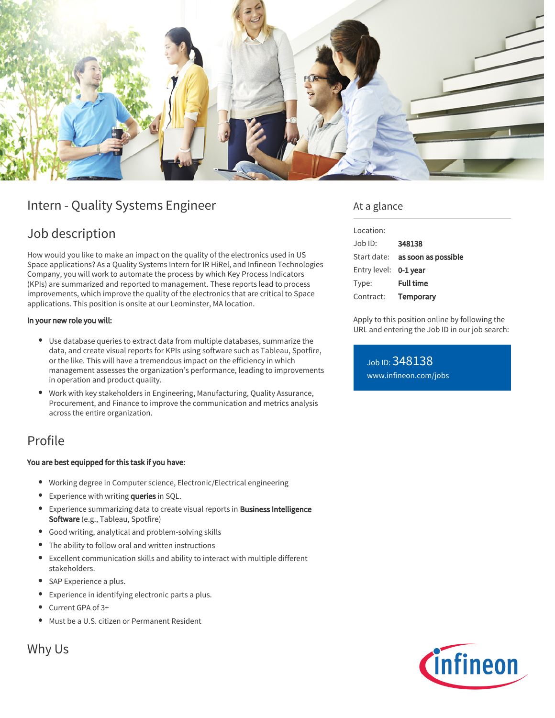

# Intern - Quality Systems Engineer

# Job description

How would you like to make an impact on the quality of the electronics used in US Space applications? As a Quality Systems Intern for IR HiRel, and Infineon Technologies Company, you will work to automate the process by which Key Process Indicators (KPIs) are summarized and reported to management. These reports lead to process improvements, which improve the quality of the electronics that are critical to Space applications. This position is onsite at our Leominster, MA location.

#### In your new role you will:

- Use database queries to extract data from multiple databases, summarize the data, and create visual reports for KPIs using software such as Tableau, Spotfire, or the like. This will have a tremendous impact on the efficiency in which management assesses the organization's performance, leading to improvements in operation and product quality.
- Work with key stakeholders in Engineering, Manufacturing, Quality Assurance, Procurement, and Finance to improve the communication and metrics analysis across the entire organization.

## Profile

#### You are best equipped for this task if you have:

- Working degree in Computer science, Electronic/Electrical engineering
- **Experience with writing queries in SQL.**
- **Experience summarizing data to create visual reports in Business Intelligence** Software (e.g., Tableau, Spotfire)
- Good writing, analytical and problem-solving skills
- The ability to follow oral and written instructions
- Excellent communication skills and ability to interact with multiple different stakeholders.
- SAP Experience a plus.
- Experience in identifying electronic parts a plus.
- Current GPA of 3+
- Must be a U.S. citizen or Permanent Resident

Why Us

### At a glance

| Location:    |                     |
|--------------|---------------------|
| Job ID:      | 348138              |
| Start date:  | as soon as possible |
| Entry level: | 0-1 year            |
| Type:        | <b>Full time</b>    |
| Contract:    | Temporary           |
|              |                     |

Apply to this position online by following the URL and entering the Job ID in our job search:

Job ID: 348138 [www.infineon.com/jobs](https://www.infineon.com/jobs)